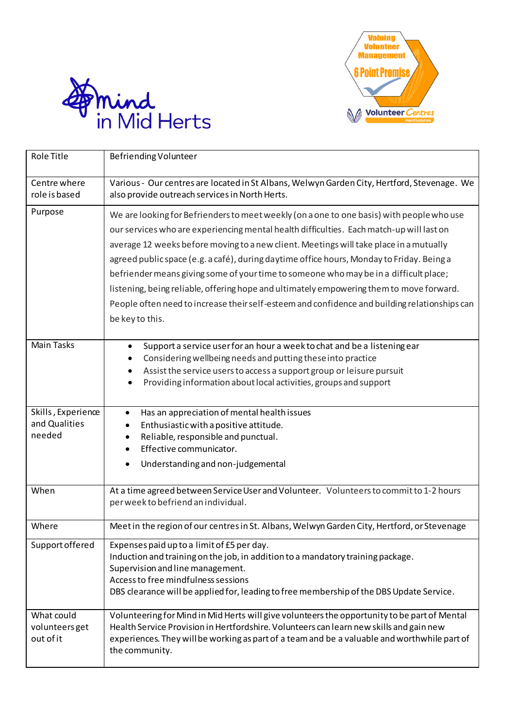



| <b>Role Title</b>                             | Befriending Volunteer                                                                                                                                                                                                                                                                                                                                                                                                                                                                                                                                                                                                                                                                 |
|-----------------------------------------------|---------------------------------------------------------------------------------------------------------------------------------------------------------------------------------------------------------------------------------------------------------------------------------------------------------------------------------------------------------------------------------------------------------------------------------------------------------------------------------------------------------------------------------------------------------------------------------------------------------------------------------------------------------------------------------------|
| Centre where<br>role is based                 | Various - Our centres are located in St Albans, Welwyn Garden City, Hertford, Stevenage. We<br>also provide outreach services in North Herts.                                                                                                                                                                                                                                                                                                                                                                                                                                                                                                                                         |
| Purpose                                       | We are looking for Befrienders to meet weekly (on a one to one basis) with people who use<br>our services who are experiencing mental health difficulties. Each match-up will last on<br>average 12 weeks before moving to a new client. Meetings will take place in a mutually<br>agreed public space (e.g. a café), during daytime office hours, Monday to Friday. Being a<br>befriender means giving some of your time to someone who may be in a difficult place;<br>listening, being reliable, offering hope and ultimately empowering them to move forward.<br>People often need to increase their self-esteem and confidence and building relationships can<br>be key to this. |
| <b>Main Tasks</b>                             | Support a service user for an hour a week to chat and be a listening ear<br>$\bullet$<br>Considering wellbeing needs and putting these into practice<br>Assist the service users to access a support group or leisure pursuit<br>Providing information about local activities, groups and support                                                                                                                                                                                                                                                                                                                                                                                     |
| Skills, Experience<br>and Qualities<br>needed | Has an appreciation of mental health issues<br>Enthusiastic with a positive attitude.<br>Reliable, responsible and punctual.<br>Effective communicator.<br>Understanding and non-judgemental                                                                                                                                                                                                                                                                                                                                                                                                                                                                                          |
| When                                          | At a time agreed between Service User and Volunteer. Volunteers to commit to 1-2 hours<br>per week to befriend an individual.                                                                                                                                                                                                                                                                                                                                                                                                                                                                                                                                                         |
| Where                                         | Meet in the region of our centres in St. Albans, Welwyn Garden City, Hertford, or Stevenage                                                                                                                                                                                                                                                                                                                                                                                                                                                                                                                                                                                           |
| Support offered                               | Expenses paid up to a limit of £5 per day.<br>Induction and training on the job, in addition to a mandatory training package.<br>Supervision and line management.<br>Access to free mindfulness sessions<br>DBS clearance will be applied for, leading to free membership of the DBS Update Service.                                                                                                                                                                                                                                                                                                                                                                                  |
| What could<br>volunteers get<br>out of it     | Volunteering for Mind in Mid Herts will give volunteers the opportunity to be part of Mental<br>Health Service Provision in Hertfordshire. Volunteers can learn new skills and gain new<br>experiences. They will be working as part of a team and be a valuable and worthwhile part of<br>the community.                                                                                                                                                                                                                                                                                                                                                                             |